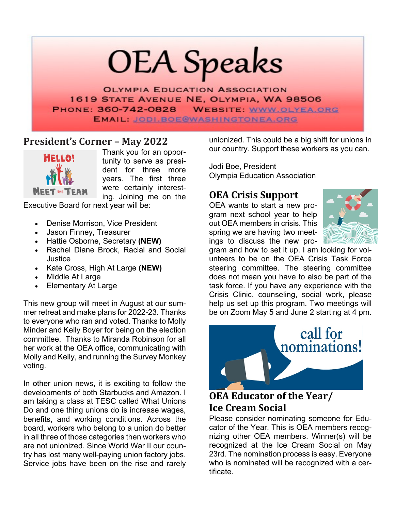# **OEA Speaks**

**OLYMPIA EDUCATION ASSOCIATION** 1619 STATE AVENUE NE, OLYMPIA, WA 98506 PHONE: 360-742-0828 **WEBSITE: WWW.OLYEA.ORG EMAIL: JODI.BOE@WASHINGTONEA.ORG** 

# **President's Corner – May 2022**



Thank you for an opportunity to serve as president for three more years. The first three were certainly interesting. Joining me on the

Executive Board for next year will be:

- Denise Morrison, Vice President
- Jason Finney, Treasurer
- Hattie Osborne, Secretary **(NEW)**
- Rachel Diane Brock, Racial and Social Justice
- Kate Cross, High At Large **(NEW)**
- Middle At Large
- Elementary At Large

This new group will meet in August at our summer retreat and make plans for 2022-23. Thanks to everyone who ran and voted. Thanks to Molly Minder and Kelly Boyer for being on the election committee. Thanks to Miranda Robinson for all her work at the OEA office, communicating with Molly and Kelly, and running the Survey Monkey voting.

In other union news, it is exciting to follow the developments of both Starbucks and Amazon. I am taking a class at TESC called What Unions Do and one thing unions do is increase wages, benefits, and working conditions. Across the board, workers who belong to a union do better in all three of those categories then workers who are not unionized. Since World War II our country has lost many well-paying union factory jobs. Service jobs have been on the rise and rarely

unionized. This could be a big shift for unions in our country. Support these workers as you can.

Jodi Boe, President Olympia Education Association

#### **OEA Crisis Support**

OEA wants to start a new program next school year to help out OEA members in crisis. This spring we are having two meetings to discuss the new pro-



gram and how to set it up. I am looking for volunteers to be on the OEA Crisis Task Force steering committee. The steering committee does not mean you have to also be part of the task force. If you have any experience with the Crisis Clinic, counseling, social work, please help us set up this program. Two meetings will be on Zoom May 5 and June 2 starting at 4 pm.



### **OEA Educator of the Year/ Ice Cream Social**

Please consider nominating someone for Educator of the Year. This is OEA members recognizing other OEA members. Winner(s) will be recognized at the Ice Cream Social on May 23rd. The nomination process is easy. Everyone who is nominated will be recognized with a certificate.